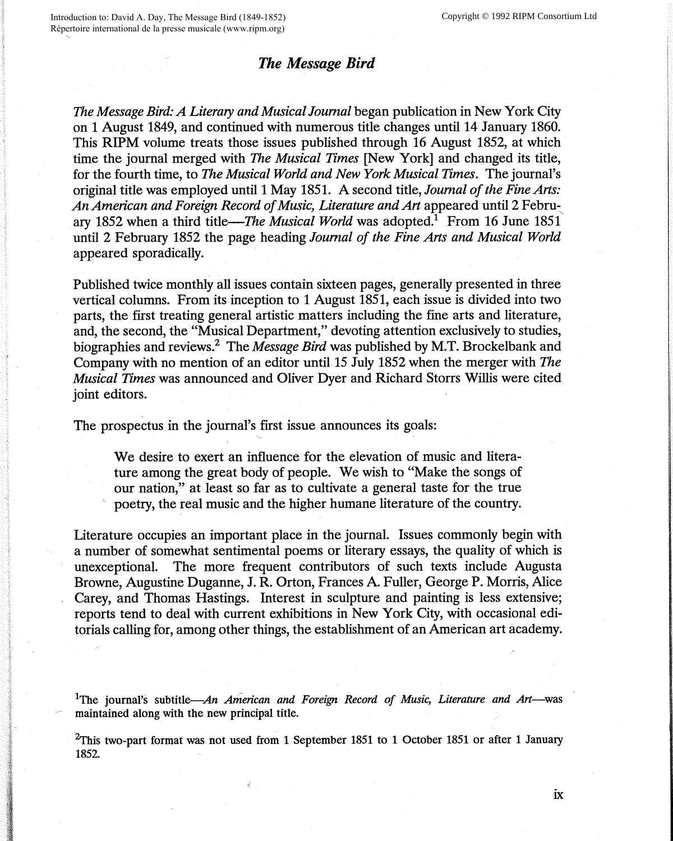## *The Message Bird*

*The Message Bird: A Literary and Musical Journal* began publication in New York City on 1 August 1849, and continued with numerous title changes until 14 January 1860. This **RIPM** volume treats those issues published through 16 August 1852, at which time the journal merged with *The Musical Times* [New York] and changed its title, for the fourth time, to *The Musical World and New York Musical Times.* The journal's original title was employed until 1 May 1851. A second title, *Journal of the Fine Arts: An American and Foreign Record of Music, Literature and Art* appeared until 2 Febru~. ary 1852 when a third title—*The Musical World* was adopted.<sup>1</sup> From 16 June 1851 until 2 February 1852 the page heading *Journal of the Fine Arts and Musical World*  appeared sporadically.

Published twice monthly all issues contain sixteen pages, generally presented in three vertical columns. From its inception to 1 August 1851, each issue is divided into two parts, the first treating general artistic matters including the fine arts and literature, and, the second, the "Musical Department," devoting attention exclusively to studies, biographies and reviews.2 The *Message Bird* was published by M.T. Brockelbank and Company with no mention of an editor until 15 July 1852 when the merger with *The Musical Times* was announced and Oliver Dyer and Richard Storrs **Willis** were cited joint editors.

The prospectus in the journal's first issue announces its goals:

We desire to exert an influence for the elevation of music and literature among the great body of people. We wish to "Make the songs of our nation," at least so far as to cultivate a general taste for the true poetry, the real music and the higher humane literature of the country.

Literature occupies an important place in the journal. Issues commonly begin with a number of somewhat sentimental poems or literary essays, the quality of which is unexceptional. The more frequent contributors of such texts include Augusta Browne, Augustine Duganne, J. R. Orton, Frances A. Fuller, George P. Morris, Alice Carey, and Thomas Hastings. Interest in sculpture and painting is less extensive; reports tend to deal with current exhibitions in New York City, with occasional editorials calling for, among other things, the establishment of an American art academy.

<sup>1</sup>The journal's subtitle—An American and Foreign Record of Music, Literature and Art—was maintained along with the new principal title.

 $2$ This two-part format was not used from 1 September 1851 to 1 October 1851 or after 1 January 1852.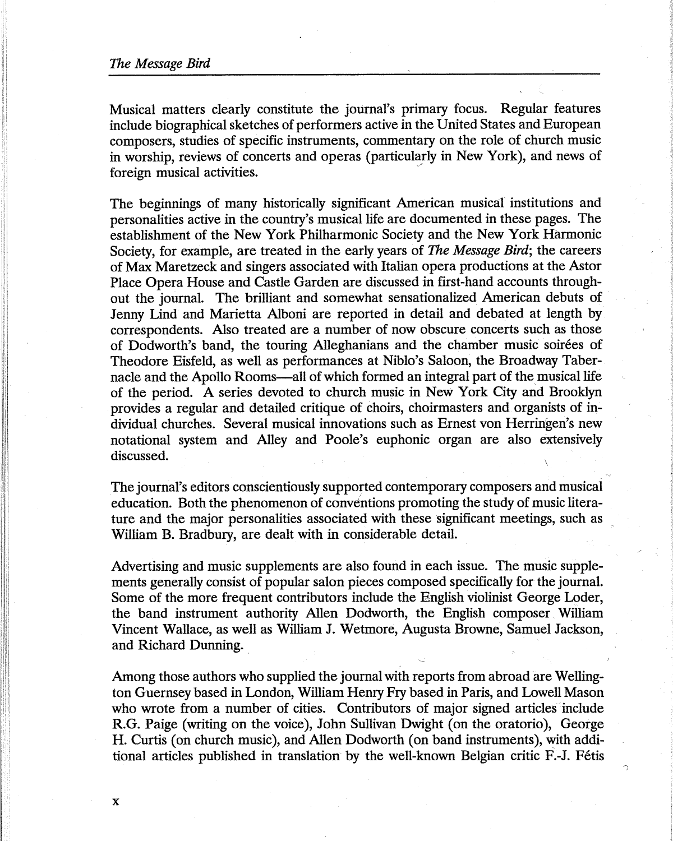Musical matters clearly constitute the journal's primary focus. Regular features include biographical sketches of performers active in the United States and European composers, studies of specific instruments, commentary on the role of church music in worship, reviews of concerts and operas (particularly in New York), and news of foreign musical activities.

The beginnings of many historically significant American musical institutions and personalities active in the country's musical life are documented in these pages. The establishment of the New York Philharmonic Society and the New York Harmonic Society, for example, are treated in the early years of *The Message Bird;* the careers of Max Maretzeck and singers associated with Italian opera productions at the Astor Place Opera House and Castle Garden are discussed in first-hand accounts throughout the journal. The brilliant and somewhat sensationalized American debuts of Jenny Lind and Marietta Alboni are reported in detail and debated at length by correspondents. Also treated are a number of now obscure concerts such as those of Dodworth's band, the touring Alleghanians and the chamber music soirees of Theodore Eisfeld, as well as performances at Niblo's Saloon, the Broadway Tabernacle and the Apollo Rooms—all of which formed an integral part of the musical life of the period. A series devoted to church music in New York City and Brooklyn provides a regular and detailed critique of choirs, choirmasters and organists of individual churches. Several musical innovations such as Ernest von Herringen's new notational system and Alley and Poole's euphonic organ are also extensively discussed.

The journal's editors conscientiously supported contemporary composers and musical education. Both the phenomenon of conventions promoting the study of music literature and the major personalities associated with these significant meetings, such as William B. Bradbury, are dealt with in considerable detail.

Advertising and music supplements are also found in each issue. The music supplements generally consist of popular salon pieces composed specifically for the journal. Some of the more frequent contributors include the English violinist George Loder, the band instrument authority Allen Dodworth, the English composer William Vincent Wallace, as well as William J. Wetmore, Augusta Browne, Samuel Jackson, and Richard Dunning.

Among those authors who supplied the journal with reports from abroad are Wellington Guernsey based in London, William Henry Fry based in Paris, and Lowell Mason who wrote from a number of cities. Contributors of major signed articles include R.G. Paige (writing on the voice), John Sullivan Dwight ( on the oratorio), George H. Curtis (on church music), and Allen Dodworth (on band instruments), with additional articles published in translation by the well-known Belgian critic F.-J. Fetis

*)*